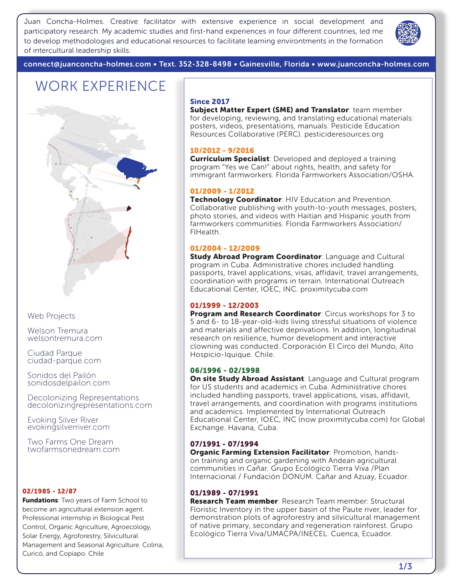Juan Concha-Holmes. Creative facilitator with extensive experience in social development and participatory research. My academic studies and first-hand experiences in four different countries, led me to develop methodologies and educational resources to facilitate learning environtments in the formation of intercultural leadership skills.



connect@juanconcha-holmes.com • Text. 352-328-8498 • Gainesville, Florida • www.juanconcha-holmes.com

### WORK EXPERIENCE



Web Projects

Welson Tremura welsontremura.com

Ciudad Parque ciudad-parque.com

Sonidos del Pailón sonidosdelpailon.com

Decolonizing Representations decolonizingrepresentations.com

Evoking Silver River evokingsilverriver.com

Two Farms One Dream twofarmsonedream.com

#### 02/1985 - 12/87

**Fundations:** Two years of Farm School to become an agricultural extension agent. Professional internship in Biological Pest Control, Organic Agriculture, Agroecology, Solar Energy, Agroforestry, Silvicultural Management and Seasonal Agriculture. Colina, Curicó, and Copiapo. Chile

#### Since 2017

Subject Matter Expert (SME) and Translator: team member for developing, reviewing, and translating educational materials: posters, videos, presentations, manuals. Pesticide Education Resources Collaborative (PERC). pesticideresources.org

#### 10/2012 - 9/2016

**Curriculum Specialist:** Developed and deployed a training program "Yes we Can!" about rights, health, and safety for immigrant farmworkers. Florida Farmworkers Association/OSHA.

#### 01/2009 - 1/2012

Technology Coordinator: HIV Education and Prevention. Collaborative publishing with youth-to-youth messages, posters, photo stories, and videos with Haitian and Hispanic youth from farmworkers communities. Florida Farmworkers Association/ FlHealth.

#### 01/2004 - 12/2009

Study Abroad Program Coordinator: Language and Cultural program in Cuba. Administrative chores included handling passports, travel applications, visas, affidavit, travel arrangements, coordination with programs in terrain. International Outreach Educational Center, IOEC, INC. proximitycuba.com

#### 01/1999 - 12/2003

Program and Research Coordinator: Circus workshops for 3 to 5 and 6- to 18-year-old-kids living stressful situations of violence and materials and affective deprivations. In addition, longitudinal research on resilience, humor development and interactive clowning was conducted. Corporación El Circo del Mundo, Alto Hospicio-Iquique. Chile.

#### 06/1996 - 02/1998

On site Study Abroad Assistant: Language and Cultural program for US students and academics in Cuba. Administrative chores included handling passports, travel applications, visas, affidavit, travel arrangements, and coordination with programs institutions and academics. Implemented by International Outreach Educational Center, IOEC, INC (now proximitycuba.com) for Global Exchange. Havana, Cuba.

#### 07/1991 - 07/1994

Organic Farming Extension Facilitator: Promotion, handson training and organic gardening with Andean agricultural communities in Cañar. Grupo Ecológico Tierra Viva /Plan Internacional / Fundación DONUM. Cañar and Azuay, Ecuador.

#### 01/1989 - 07/1991

Research Team member: Research Team member: Structural Floristic Inventory in the upper basin of the Paute river, leader for demonstration plots of agroforestry and silvicultural management of native primary, secondary and regeneration rainforest. Grupo Ecológico Tierra Viva/UMACPA/INECEL. Cuenca, Ecuador.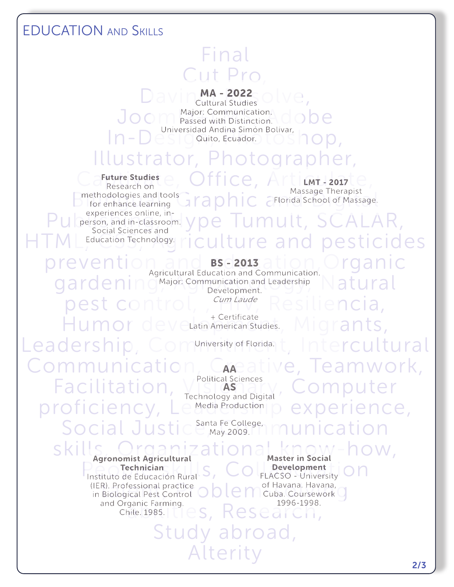### EDUCATION and Skills

## Final Cut Pro

 $D$  a v i n  $M$  - 2022  $\circ$  l v e, Joom Major: Communication. dobe In – Designe Quito, Ecuador. **In Solivar, In Op**, Cultural Studies Major: Communication. Universidad Andina Simón Bolívar,

## Illustrator, Photographer,

 $\Box$  Elorida School of Massage Inerapist<br>Digital, Graphic Contract of Massage. methodologies and tools<br>  $\overline{AB} \cap \overline{AB}$   $\overline{C}$  Florida School of Massage. Future Studies Research on for enhance learning experiences online, in-Social Sciences and

 $C$  a Future Studies e, Office, Articulate, Massage Therapist

# $P$ ul person, and in-classroom.  $y$  pe  $T$ umult,  $SCALAR$ , HTML Education Technology. riculture and pesticides

prevent gardening Major: Communication and Leadership and Latural control, <sup>compagge</sup> Resiliencia, Humor development and the Certificate dies. Migrants, BS - 2013 Agricultural Education and Communication. Development. Cum Laude + Certificate

Leadership, Commiversity of Florida. t, Intercultural

Communication, Caneative, Teamwork, Facilitation, Visiasiany, Computer proficiency, Le Media Production p experience, Social Justic<sup>Santa Fe College</sup>, munication

Political Sciences AS Technology and Digital **Media Production** 

May 2009.

People Technician<br>Instituto de Educación Rural S, COLLACSO - University ON Agronomist Agricultural **Technician** 

Drganic Farming.<br>Chile. 1985.  $\Box \text{e}_s$ , Research, (IER). Professional practice and Organic Farming.

skills, Organizational know-how, IER). Professional practice  $\bigcirc$   $\bigcirc$   $\bigcirc$   $\bigcirc$  of Havana. Havana,  $\bigcirc$  in Biological Pest Control  $\bigcirc$   $\bigcirc$   $\bigcirc$  Cuba. Coursework  $\bigcirc$ Master in Social Development FLACSO - University of Havana. Havana, Cuba. Coursework 1996-1998.

> Study abroad, Alterity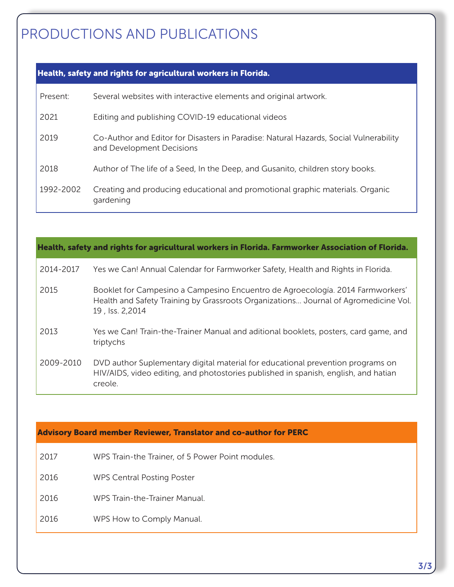## PRODUCTIONS AND PUBLICATIONS

### Health, safety and rights for agricultural workers in Florida.

| Present:  | Several websites with interactive elements and original artwork.                                                   |
|-----------|--------------------------------------------------------------------------------------------------------------------|
| 2021      | Editing and publishing COVID-19 educational videos                                                                 |
| 2019      | Co-Author and Editor for Disasters in Paradise: Natural Hazards, Social Vulnerability<br>and Development Decisions |
| 2018      | Author of The life of a Seed, In the Deep, and Gusanito, children story books.                                     |
| 1992-2002 | Creating and producing educational and promotional graphic materials. Organic<br>gardening                         |

| Health, safety and rights for agricultural workers in Florida. Farmworker Association of Florida. |                                                                                                                                                                                          |  |
|---------------------------------------------------------------------------------------------------|------------------------------------------------------------------------------------------------------------------------------------------------------------------------------------------|--|
| 2014-2017                                                                                         | Yes we Can! Annual Calendar for Farmworker Safety, Health and Rights in Florida.                                                                                                         |  |
| 2015                                                                                              | Booklet for Campesino a Campesino Encuentro de Agroecología. 2014 Farmworkers'<br>Health and Safety Training by Grassroots Organizations Journal of Agromedicine Vol.<br>19, Iss. 2,2014 |  |
| 2013                                                                                              | Yes we Can! Train-the-Trainer Manual and aditional booklets, posters, card game, and<br>triptychs                                                                                        |  |
| 2009-2010                                                                                         | DVD author Suplementary digital material for educational prevention programs on<br>HIV/AIDS, video editing, and photostories published in spanish, english, and hatian<br>creole.        |  |

#### Advisory Board member Reviewer, Translator and co-author for PERC

- 2017 WPS Train-the Trainer, of 5 Power Point modules.
- 2016 WPS Central Posting Poster
- 2016 WPS Train-the-Trainer Manual.
- 2016 WPS How to Comply Manual.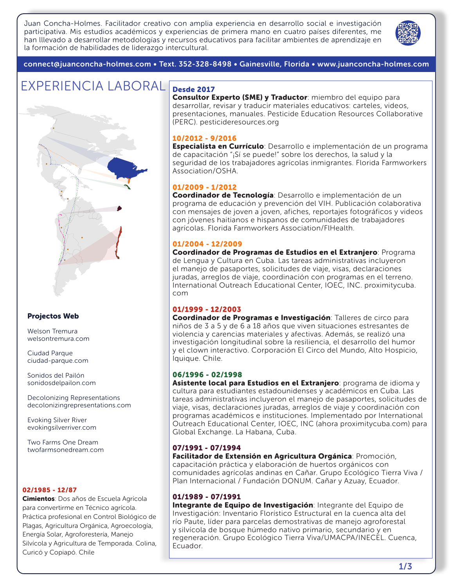Juan Concha-Holmes. Facilitador creativo con amplia experiencia en desarrollo social e investigación participativa. Mis estudios académicos y experiencias de primera mano en cuatro países diferentes, me han lllevado a desarrollar metodologías y recursos educativos para facilitar ambientes de aprendizaje en la formación de habilidades de liderazgo intercultural.



connect@juanconcha-holmes.com • Text. 352-328-8498 • Gainesville, Florida • www.juanconcha-holmes.com

### EXPERIENCIA LABORAL Desde 2017



#### Projectos Web

Welson Tremura welsontremura.com

Ciudad Parque ciudad-parque.com

Sonidos del Pailón sonidosdelpailon.com

Decolonizing Representations decolonizingrepresentations.com

Evoking Silver River evokingsilverriver.com

Two Farms One Dream twofarmsonedream.com

#### 02/1985 - 12/87

**Cimientos**: Dos años de Escuela Agrícola para convertirme en Técnico agrícola. Práctica profesional en Control Biológico de Plagas, Agricultura Orgánica, Agroecología, Energía Solar, Agroforestería, Manejo Silvícola y Agricultura de Temporada. Colina, Curicó y Copiapó. Chile

Consultor Experto (SME) y Traductor: miembro del equipo para desarrollar, revisar y traducir materiales educativos: carteles, videos, presentaciones, manuales. Pesticide Education Resources Collaborative (PERC). pesticideresources.org

#### 10/2012 - 9/2016

**Especialista en Currículo**: Desarrollo e implementación de un programa de capacitación "¡Sí se puede!" sobre los derechos, la salud y la seguridad de los trabajadores agrícolas inmigrantes. Florida Farmworkers Association/OSHA.

#### 01/2009 - 1/2012

Coordinador de Tecnología: Desarrollo e implementación de un programa de educación y prevención del VIH. Publicación colaborativa con mensajes de joven a joven, afiches, reportajes fotográficos y videos con jóvenes haitianos e hispanos de comunidades de trabajadores agrícolas. Florida Farmworkers Association/FlHealth.

#### 01/2004 - 12/2009

Coordinador de Programas de Estudios en el Extranjero: Programa de Lengua y Cultura en Cuba. Las tareas administrativas incluyeron el manejo de pasaportes, solicitudes de viaje, visas, declaraciones juradas, arreglos de viaje, coordinación con programas en el terreno. International Outreach Educational Center, IOEC, INC. proximitycuba. com

#### 01/1999 - 12/2003

Coordinador de Programas e Investigación: Talleres de circo para niños de 3 a 5 y de 6 a 18 años que viven situaciones estresantes de violencia y carencias materiales y afectivas. Además, se realizó una investigación longitudinal sobre la resiliencia, el desarrollo del humor y el clown interactivo. Corporación El Circo del Mundo, Alto Hospicio, Iquique. Chile.

#### 06/1996 - 02/1998

Asistente local para Estudios en el Extranjero: programa de idioma y cultura para estudiantes estadounidenses y académicos en Cuba. Las tareas administrativas incluyeron el manejo de pasaportes, solicitudes de viaje, visas, declaraciones juradas, arreglos de viaje y coordinación con programas académicos e instituciones. Implementado por International Outreach Educational Center, IOEC, INC (ahora proximitycuba.com) para Global Exchange. La Habana, Cuba.

#### 07/1991 - 07/1994

Facilitador de Extensión en Agricultura Orgánica: Promoción, capacitación práctica y elaboración de huertos orgánicos con comunidades agrícolas andinas en Cañar. Grupo Ecológico Tierra Viva / Plan Internacional / Fundación DONUM. Cañar y Azuay, Ecuador.

#### 01/1989 - 07/1991

Integrante de Equipo de Investigación: Integrante del Equipo de Investigación: Inventario Florístico Estructural en la cuenca alta del río Paute, líder para parcelas demostrativas de manejo agroforestal y silvícola de bosque húmedo nativo primario, secundario y en regeneración. Grupo Ecológico Tierra Viva/UMACPA/INECEL. Cuenca, Ecuador.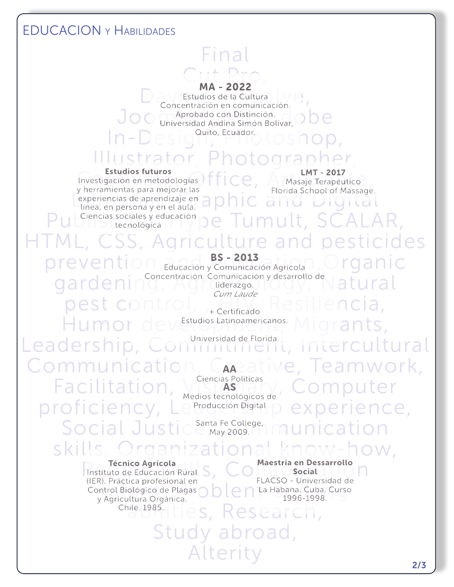### EDUCACION y Habilidades

## Final Cut Pro,

#### MA - 2022

MA - ZUZZ<br>Concentración en comunicación. Joomaan Distinción.<br>Joomaan Distinción.<br>Joomaan Andina Simón Bolívar, ODC. In-Design, Photoshop, Estudios de la Cultura Universidad Andina Simón Bolívar, Quito, Ecuador.

## Illustrator, Photographer,

Estudios futuros<br>Investigación en metodologías  $\int f \mid \bigcirc \theta$ , Articulas Terapéutico<br>Investigación en mejorar las  $\frac{1}{2}$  experiencias de aprendizaje en aprovida School of Massage. Publishis sociales y educación de Tumult, SCALAR, Estudios futuros y herramientas para mejorar las línea, en persona y en el aula. tecnológica

LMT - 2017 **Masaje Terapéutico** Florida School of Massage.

## L, CSS, Agriculture and pesticides prevention **BS-2013**<br> **Prevention** Educación y Comunicación Agrícola (Organic gardening Concentración: Comunicación y desarrollo de atural BS - 2013

liderazgo. Cum Laude

pest control,  $\frac{cumValue}{r+Centification}$  Resiliencia, Humor devertudios Latinoamericanos. Migrants, + Certificado

Leadership, Commitment, Intercultural

Communication, Capeative, Teamwork, Facilitation, Visionary, Computer proficiency, Le Producción Digital p experience, Social Justic<sup>Santa Fe College</sup>, munication skills, Organizational know-how, AS **Producción Digital** May 2009.

Ciencias Políticas Medios tecnológicos de

Técnico Agrícola<br>
Instituto de Educación Rural S, COLLACSO Universidad de M TERT, Practica profesional en<br>Control Biológico de Plagas<br>V Agricultura Orgánica.<br>1996-1998. Técnico Agrícola (IER). Práctica profesional en y Agricultura Orgánica.

Maestría en Dessarrollo Social FLACSO - Universidad de La Habana. Cuba. Curso 1996-1998.

es, Research, Study abroad, Alterity Chile. 1985..